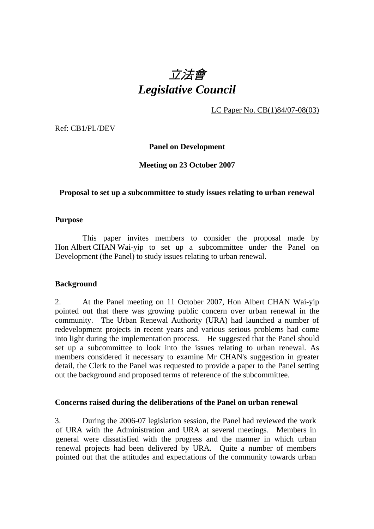# 立法會 *Legislative Council*

LC Paper No. CB(1)84/07-08(03)

Ref: CB1/PL/DEV

## **Panel on Development**

## **Meeting on 23 October 2007**

## **Proposal to set up a subcommittee to study issues relating to urban renewal**

#### **Purpose**

 This paper invites members to consider the proposal made by Hon Albert CHAN Wai-yip to set up a subcommittee under the Panel on Development (the Panel) to study issues relating to urban renewal.

## **Background**

2. At the Panel meeting on 11 October 2007, Hon Albert CHAN Wai-yip pointed out that there was growing public concern over urban renewal in the community. The Urban Renewal Authority (URA) had launched a number of redevelopment projects in recent years and various serious problems had come into light during the implementation process. He suggested that the Panel should set up a subcommittee to look into the issues relating to urban renewal. As members considered it necessary to examine Mr CHAN's suggestion in greater detail, the Clerk to the Panel was requested to provide a paper to the Panel setting out the background and proposed terms of reference of the subcommittee.

#### **Concerns raised during the deliberations of the Panel on urban renewal**

3. During the 2006-07 legislation session, the Panel had reviewed the work of URA with the Administration and URA at several meetings. Members in general were dissatisfied with the progress and the manner in which urban renewal projects had been delivered by URA. Quite a number of members pointed out that the attitudes and expectations of the community towards urban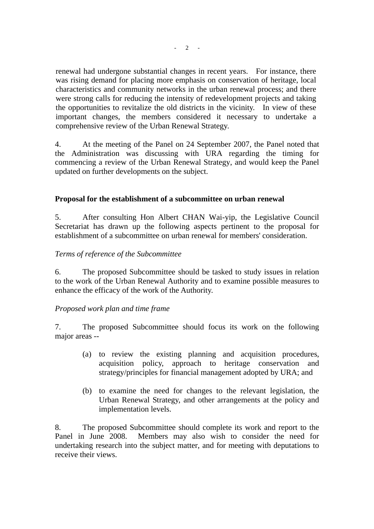renewal had undergone substantial changes in recent years. For instance, there was rising demand for placing more emphasis on conservation of heritage, local characteristics and community networks in the urban renewal process; and there were strong calls for reducing the intensity of redevelopment projects and taking the opportunities to revitalize the old districts in the vicinity. In view of these important changes, the members considered it necessary to undertake a comprehensive review of the Urban Renewal Strategy.

4. At the meeting of the Panel on 24 September 2007, the Panel noted that the Administration was discussing with URA regarding the timing for commencing a review of the Urban Renewal Strategy, and would keep the Panel updated on further developments on the subject.

## **Proposal for the establishment of a subcommittee on urban renewal**

5. After consulting Hon Albert CHAN Wai-yip, the Legislative Council Secretariat has drawn up the following aspects pertinent to the proposal for establishment of a subcommittee on urban renewal for members' consideration.

## *Terms of reference of the Subcommittee*

6. The proposed Subcommittee should be tasked to study issues in relation to the work of the Urban Renewal Authority and to examine possible measures to enhance the efficacy of the work of the Authority.

## *Proposed work plan and time frame*

7. The proposed Subcommittee should focus its work on the following major areas --

- (a) to review the existing planning and acquisition procedures, acquisition policy, approach to heritage conservation and strategy/principles for financial management adopted by URA; and
- (b) to examine the need for changes to the relevant legislation, the Urban Renewal Strategy, and other arrangements at the policy and implementation levels.

8. The proposed Subcommittee should complete its work and report to the Panel in June 2008. Members may also wish to consider the need for undertaking research into the subject matter, and for meeting with deputations to receive their views.